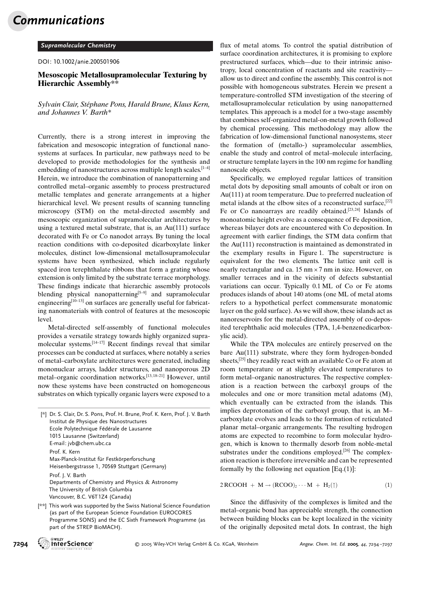Communications

## Supramolecular Chemistry

DOI: 10.1002/anie.200501906

## Mesoscopic Metallosupramolecular Texturing by Hierarchic Assembly\*\*

Sylvain Clair, Stéphane Pons, Harald Brune, Klaus Kern, and Johannes V. Barth\*

Currently, there is a strong interest in improving the fabrication and mesoscopic integration of functional nanosystems at surfaces. In particular, new pathways need to be developed to provide methodologies for the synthesis and embedding of nanostructures across multiple length scales.<sup>[1-4]</sup> Herein, we introduce the combination of nanopatterning and controlled metal–organic assembly to process prestructured metallic templates and generate arrangements at a higher hierarchical level. We present results of scanning tunneling microscopy (STM) on the metal-directed assembly and mesoscopic organization of supramolecular architectures by using a textured metal substrate, that is, an Au(111) surface decorated with Fe or Co nanodot arrays. By tuning the local reaction conditions with co-deposited dicarboxylate linker molecules, distinct low-dimensional metallosupramolecular systems have been synthesized, which include regularly spaced iron terephthalate ribbons that form a grating whose extension is only limited by the substrate terrace morphology. These findings indicate that hierarchic assembly protocols blending physical nanopatterning $[5-9]$  and supramolecular engineering $[10-13]$  on surfaces are generally useful for fabricating nanomaterials with control of features at the mesoscopic level.

Metal-directed self-assembly of functional molecules provides a versatile strategy towards highly organized supramolecular systems. $\left[14-17\right]$  Recent findings reveal that similar processes can be conducted at surfaces, where notably a series of metal–carboxylate architectures were generated, including mononuclear arrays, ladder structures, and nanoporous 2D metal–organic coordination networks.[13, 18–21] However, until now these systems have been constructed on homogeneous substrates on which typically organic layers were exposed to a

| [*] Dr. S. Clair, Dr. S. Pons, Prof. H. Brune, Prof. K. Kern, Prof. J. V. Barth<br>Institut de Physique des Nanostructures<br>Ecole Polytechnique Fédérale de Lausanne<br>1015 Lausanne (Switzerland)<br>E-mail: jvb@chem.ubc.ca |
|----------------------------------------------------------------------------------------------------------------------------------------------------------------------------------------------------------------------------------|
| Prof. K. Kern<br>Max-Planck-Institut für Festkörperforschung<br>Heisenbergstrasse 1, 70569 Stuttgart (Germany)                                                                                                                   |
| Prof. J. V. Barth<br>Departments of Chemistry and Physics & Astronomy<br>The University of British Columbia<br>Vancouver, B.C. V6T1Z4 (Canada)                                                                                   |
| [**] This work was supported by the Swiss National Science Foundation                                                                                                                                                            |

(as part of the European Science Foundation EUROCORES Programme SONS) and the EC Sixth Framework Programme (as part of the STREP BioMACH).

flux of metal atoms. To control the spatial distribution of surface coordination architectures, it is promising to explore prestructured surfaces, which—due to their intrinsic anisotropy, local concentration of reactants and site reactivity allow us to direct and confine the assembly. This control is not possible with homogeneous substrates. Herein we present a temperature-controlled STM investigation of the steering of metallosupramolecular reticulation by using nanopatterned templates. This approach is a model for a two-stage assembly that combines self-organized metal-on-metal growth followed by chemical processing. This methodology may allow the fabrication of low-dimensional functional nanosystems, steer the formation of (metallo-) supramolecular assemblies, enable the study and control of metal–molecule interfacing, or structure template layers in the 100 nm regime for handling nanoscale objects.

Specifically, we employed regular lattices of transition metal dots by depositing small amounts of cobalt or iron on Au(111) at room temperature. Due to preferred nucleation of metal islands at the elbow sites of a reconstructed surface,[22] Fe or Co nanoarrays are readily obtained.<sup>[23,24]</sup> Islands of monoatomic height evolve as a consequence of Fe deposition, whereas bilayer dots are encountered with Co deposition. In agreement with earlier findings, the STM data confirm that the Au(111) reconstruction is maintained as demonstrated in the exemplary results in Figure 1. The superstructure is equivalent for the two elements. The lattice unit cell is nearly rectangular and ca. 15 nm  $\times$  7 nm in size. However, on smaller terraces and in the vicinity of defects substantial variations can occur. Typically 0.1 ML of Co or Fe atoms produces islands of about 140 atoms (one ML of metal atoms refers to a hypothetical perfect commensurate monatomic layer on the gold surface). As we will show, these islands act as nanoreservoirs for the metal-directed assembly of co-deposited terephthalic acid molecules (TPA, 1,4-benzenedicarboxylic acid).

While the TPA molecules are entirely preserved on the bare Au(111) substrate, where they form hydrogen-bonded sheets,<sup>[25]</sup> they readily react with an available Co or Fe atom at room temperature or at slightly elevated temperatures to form metal–organic nanostructures. The respective complexation is a reaction between the carboxyl groups of the molecules and one or more transition metal adatoms (M), which eventually can be extracted from the islands. This implies deprotonation of the carboxyl group, that is, an M– carboxylate evolves and leads to the formation of reticulated planar metal–organic arrangements. The resulting hydrogen atoms are expected to recombine to form molecular hydrogen, which is known to thermally desorb from noble-metal substrates under the conditions employed.<sup>[26]</sup> The complexation reaction is therefore irreversible and can be represented formally by the following net equation  $[Eq.(1)]$ :

$$
2\, \text{RCOOH} + \text{M} \rightarrow (\text{RCOO})_2 \cdots \text{M} + \text{H}_2(\uparrow) \tag{1}
$$

Since the diffusivity of the complexes is limited and the metal–organic bond has appreciable strength, the connection between building blocks can be kept localized in the vicinity of the originally deposited metal dots. In contrast, the high

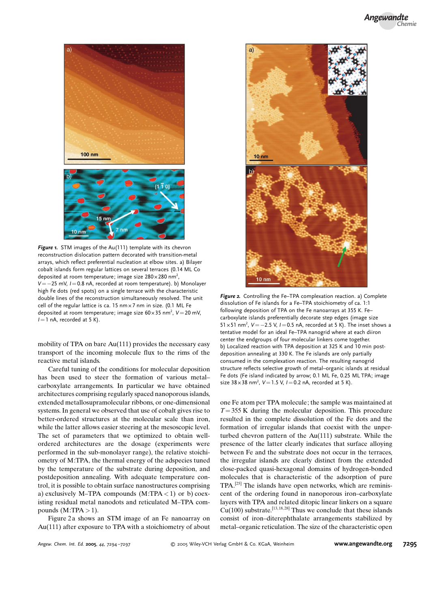

Figure 1. STM images of the Au(111) template with its chevron reconstruction dislocation pattern decorated with transition-metal arrays, which reflect preferential nucleation at elbow sites. a) Bilayer cobalt islands form regular lattices on several terraces (0.14 ML Co deposited at room temperature; image size 280 $\times$ 280 nm<sup>2</sup>,  $V=-25$  mV,  $I=0.8$  nA, recorded at room temperature). b) Monolayer high Fe dots (red spots) on a single terrace with the characteristic double lines of the reconstruction simultaneously resolved. The unit cell of the regular lattice is ca. 15 nm  $\times$  7 nm in size. (0.1 ML Fe deposited at room temperature; image size  $60 \times 35$  nm<sup>2</sup>, V=20 mV,  $I=1$  nA, recorded at 5 K).

mobility of TPA on bare Au(111) provides the necessary easy transport of the incoming molecule flux to the rims of the reactive metal islands.

Careful tuning of the conditions for molecular deposition has been used to steer the formation of various metal– carboxylate arrangements. In particular we have obtained architectures comprising regularly spaced nanoporous islands, extended metallosupramolecular ribbons, or one-dimensional systems. In general we observed that use of cobalt gives rise to better-ordered structures at the molecular scale than iron, while the latter allows easier steering at the mesoscopic level. The set of parameters that we optimized to obtain wellordered architectures are the dosage (experiments were performed in the sub-monolayer range), the relative stoichiometry of M:TPA, the thermal energy of the adspecies tuned by the temperature of the substrate during deposition, and postdeposition annealing. With adequate temperature control, it is possible to obtain surface nanostructures comprising a) exclusively M–TPA compounds  $(M:TPA < 1)$  or b) coexisting residual metal nanodots and reticulated M–TPA compounds  $(M:TPA > 1)$ .

Figure 2 a shows an STM image of an Fe nanoarray on Au(111) after exposure to TPA with a stoichiometry of about



Figure 2. Controlling the Fe–TPA complexation reaction. a) Complete dissolution of Fe islands for a Fe–TPA stoichiometry of ca. 1:1 following deposition of TPA on the Fe nanoarrays at 355 K. Fe– carboxylate islands preferentially decorate step edges (image size 51 x 51 nm<sup>2</sup>,  $V = -2.5$  V,  $I = 0.5$  nA, recorded at 5 K). The inset shows a tentative model for an ideal Fe–TPA nanogrid where at each diiron center the endgroups of four molecular linkers come together. b) Localized reaction with TPA deposition at 325 K and 10 min postdeposition annealing at 330 K. The Fe islands are only partially consumed in the complexation reaction. The resulting nanogrid structure reflects selective growth of metal–organic islands at residual Fe dots (Fe island indicated by arrow; 0.1 ML Fe, 0.25 ML TPA; image size  $38 \times 38$  nm<sup>2</sup>,  $V = 1.5$  V,  $I = 0.2$  nA, recorded at 5 K).

one Fe atom per TPA molecule; the sample was maintained at  $T= 355$  K during the molecular deposition. This procedure resulted in the complete dissolution of the Fe dots and the formation of irregular islands that coexist with the unperturbed chevron pattern of the Au(111) substrate. While the presence of the latter clearly indicates that surface alloying between Fe and the substrate does not occur in the terraces, the irregular islands are clearly distinct from the extended close-packed quasi-hexagonal domains of hydrogen-bonded molecules that is characteristic of the adsorption of pure TPA.[25] The islands have open networks, which are reminiscent of the ordering found in nanoporous iron–carboxylate layers with TPA and related ditopic linear linkers on a square  $Cu(100)$  substrate.<sup>[13,18,28]</sup> Thus we conclude that these islands consist of iron–diterephthalate arrangements stabilized by metal–organic reticulation. The size of the characteristic open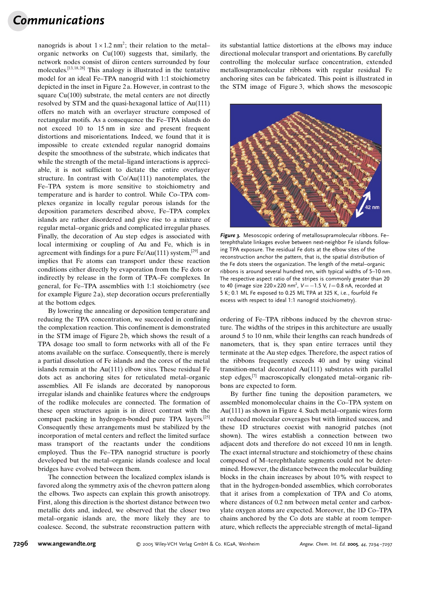## Communications

nanogrids is about  $1 \times 1.2$  nm<sup>2</sup>; their relation to the metal– organic networks on Cu(100) suggests that, similarly, the network nodes consist of diiron centers surrounded by four molecules.[13, 18, 28] This analogy is illustrated in the tentative model for an ideal Fe–TPA nanogrid with 1:1 stoichiometry depicted in the inset in Figure 2 a. However, in contrast to the square Cu(100) substrate, the metal centers are not directly resolved by STM and the quasi-hexagonal lattice of Au(111) offers no match with an overlayer structure composed of rectangular motifs. As a consequence the Fe–TPA islands do not exceed 10 to 15 nm in size and present frequent distortions and misorientations. Indeed, we found that it is impossible to create extended regular nanogrid domains despite the smoothness of the substrate, which indicates that while the strength of the metal–ligand interactions is appreciable, it is not sufficient to dictate the entire overlayer structure. In contrast with Co/Au(111) nanotemplates, the Fe–TPA system is more sensitive to stoichiometry and temperature and is harder to control. While Co–TPA complexes organize in locally regular porous islands for the deposition parameters described above, Fe–TPA complex islands are rather disordered and give rise to a mixture of regular metal–organic grids and complicated irregular phases. Finally, the decoration of Au step edges is associated with local intermixing or coupling of Au and Fe, which is in agreement with findings for a pure  $Fe/Au(111)$  system,<sup>[29]</sup> and implies that Fe atoms can transport under these reaction conditions either directly by evaporation from the Fe dots or indirectly by release in the form of TPA–Fe complexes. In general, for Fe–TPA assemblies with 1:1 stoichiometry (see for example Figure 2 a), step decoration occurs preferentially at the bottom edges.

By lowering the annealing or deposition temperature and reducing the TPA concentration, we succeeded in confining the complexation reaction. This confinement is demonstrated in the STM image of Figure 2b, which shows the result of a TPA dosage too small to form networks with all of the Fe atoms available on the surface. Consequently, there is merely a partial dissolution of Fe islands and the cores of the metal islands remain at the Au(111) elbow sites. These residual Fe dots act as anchoring sites for reticulated metal–organic assemblies. All Fe islands are decorated by nanoporous irregular islands and chainlike features where the endgroups of the rodlike molecules are connected. The formation of these open structures again is in direct contrast with the compact packing in hydrogen-bonded pure TPA layers.[25] Consequently these arrangements must be stabilized by the incorporation of metal centers and reflect the limited surface mass transport of the reactants under the conditions employed. Thus the Fe–TPA nanogrid structure is poorly developed but the metal–organic islands coalesce and local bridges have evolved between them.

The connection between the localized complex islands is favored along the symmetry axis of the chevron pattern along the elbows. Two aspects can explain this growth anisotropy. First, along this direction is the shortest distance between two metallic dots and, indeed, we observed that the closer two metal–organic islands are, the more likely they are to coalesce. Second, the substrate reconstruction pattern with its substantial lattice distortions at the elbows may induce directional molecular transport and orientations. By carefully controlling the molecular surface concentration, extended metallosupramolecular ribbons with regular residual Fe anchoring sites can be fabricated. This point is illustrated in the STM image of Figure 3, which shows the mesoscopic



Figure 3. Mesoscopic ordering of metallosupramolecular ribbons. Fe– terephthalate linkages evolve between next-neighbor Fe islands following TPA exposure. The residual Fe dots at the elbow sites of the reconstruction anchor the pattern, that is, the spatial distribution of the Fe dots steers the organization. The length of the metal–organic ribbons is around several hundred nm, with typical widths of 5–10 nm. The respective aspect ratio of the stripes is commonly greater than 20 to 40 (image size 220 $\times$ 220 nm $^2$ , V  $=-1.5$  V, I  $=$  0.8 nA, recorded at 5 K; 0.1 ML Fe exposed to 0.25 ML TPA at 325 K, i.e., fourfold Fe excess with respect to ideal 1:1 nanogrid stoichiometry).

ordering of Fe–TPA ribbons induced by the chevron structure. The widths of the stripes in this architecture are usually around 5 to 10 nm, while their lengths can reach hundreds of nanometers, that is, they span entire terraces until they terminate at the Au step edges. Therefore, the aspect ratios of the ribbons frequently exceeds 40 and by using vicinal transition-metal decorated Au(111) substrates with parallel step edges,<sup>[7]</sup> macroscopically elongated metal–organic ribbons are expected to form.

By further fine tuning the deposition parameters, we assembled monomolecular chains in the Co–TPA system on Au(111) as shown in Figure 4. Such metal–organic wires form at reduced molecular coverages but with limited success, and these 1D structures coexist with nanogrid patches (not shown). The wires establish a connection between two adjacent dots and therefore do not exceed 10 nm in length. The exact internal structure and stoichiometry of these chains composed of M–terephthalate segments could not be determined. However, the distance between the molecular building blocks in the chain increases by about 10% with respect to that in the hydrogen-bonded assemblies, which corroborates that it arises from a complexation of TPA and Co atoms, where distances of 0.2 nm between metal center and carboxylate oxygen atoms are expected. Moreover, the 1D Co–TPA chains anchored by the Co dots are stable at room temperature, which reflects the appreciable strength of metal–ligand